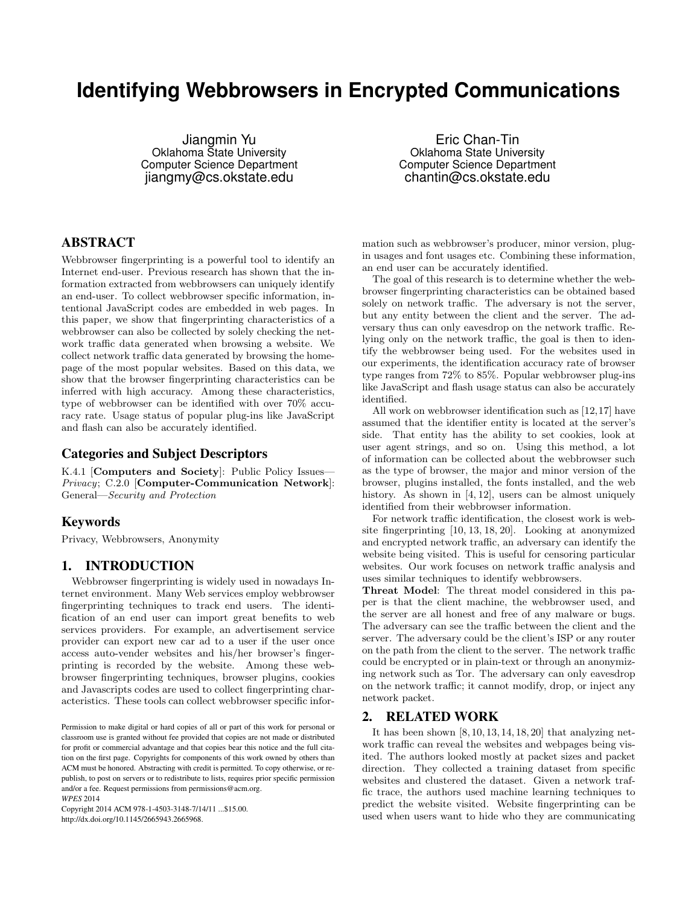# **Identifying Webbrowsers in Encrypted Communications**

Jiangmin Yu Oklahoma State University Computer Science Department jiangmy@cs.okstate.edu

Eric Chan-Tin Oklahoma State University Computer Science Department chantin@cs.okstate.edu

# ABSTRACT

Webbrowser fingerprinting is a powerful tool to identify an Internet end-user. Previous research has shown that the information extracted from webbrowsers can uniquely identify an end-user. To collect webbrowser specific information, intentional JavaScript codes are embedded in web pages. In this paper, we show that fingerprinting characteristics of a webbrowser can also be collected by solely checking the network traffic data generated when browsing a website. We collect network traffic data generated by browsing the homepage of the most popular websites. Based on this data, we show that the browser fingerprinting characteristics can be inferred with high accuracy. Among these characteristics, type of webbrowser can be identified with over 70% accuracy rate. Usage status of popular plug-ins like JavaScript and flash can also be accurately identified.

# Categories and Subject Descriptors

K.4.1 [Computers and Society]: Public Policy Issues— Privacy; C.2.0 [Computer-Communication Network]: General—Security and Protection

## Keywords

Privacy, Webbrowsers, Anonymity

# 1. INTRODUCTION

Webbrowser fingerprinting is widely used in nowadays Internet environment. Many Web services employ webbrowser fingerprinting techniques to track end users. The identification of an end user can import great benefits to web services providers. For example, an advertisement service provider can export new car ad to a user if the user once access auto-vender websites and his/her browser's fingerprinting is recorded by the website. Among these webbrowser fingerprinting techniques, browser plugins, cookies and Javascripts codes are used to collect fingerprinting characteristics. These tools can collect webbrowser specific infor-

Copyright 2014 ACM 978-1-4503-3148-7/14/11 ...\$15.00. http://dx.doi.org/10.1145/2665943.2665968.

mation such as webbrowser's producer, minor version, plugin usages and font usages etc. Combining these information, an end user can be accurately identified.

The goal of this research is to determine whether the webbrowser fingerprinting characteristics can be obtained based solely on network traffic. The adversary is not the server, but any entity between the client and the server. The adversary thus can only eavesdrop on the network traffic. Relying only on the network traffic, the goal is then to identify the webbrowser being used. For the websites used in our experiments, the identification accuracy rate of browser type ranges from 72% to 85%. Popular webbrowser plug-ins like JavaScript and flash usage status can also be accurately identified.

All work on webbrowser identification such as [12,17] have assumed that the identifier entity is located at the server's side. That entity has the ability to set cookies, look at user agent strings, and so on. Using this method, a lot of information can be collected about the webbrowser such as the type of browser, the major and minor version of the browser, plugins installed, the fonts installed, and the web history. As shown in [4, 12], users can be almost uniquely identified from their webbrowser information.

For network traffic identification, the closest work is website fingerprinting [10, 13, 18, 20]. Looking at anonymized and encrypted network traffic, an adversary can identify the website being visited. This is useful for censoring particular websites. Our work focuses on network traffic analysis and uses similar techniques to identify webbrowsers.

Threat Model: The threat model considered in this paper is that the client machine, the webbrowser used, and the server are all honest and free of any malware or bugs. The adversary can see the traffic between the client and the server. The adversary could be the client's ISP or any router on the path from the client to the server. The network traffic could be encrypted or in plain-text or through an anonymizing network such as Tor. The adversary can only eavesdrop on the network traffic; it cannot modify, drop, or inject any network packet.

# 2. RELATED WORK

It has been shown  $[8, 10, 13, 14, 18, 20]$  that analyzing network traffic can reveal the websites and webpages being visited. The authors looked mostly at packet sizes and packet direction. They collected a training dataset from specific websites and clustered the dataset. Given a network traffic trace, the authors used machine learning techniques to predict the website visited. Website fingerprinting can be used when users want to hide who they are communicating

Permission to make digital or hard copies of all or part of this work for personal or classroom use is granted without fee provided that copies are not made or distributed for profit or commercial advantage and that copies bear this notice and the full citation on the first page. Copyrights for components of this work owned by others than ACM must be honored. Abstracting with credit is permitted. To copy otherwise, or republish, to post on servers or to redistribute to lists, requires prior specific permission and/or a fee. Request permissions from permissions@acm.org. *WPES* 2014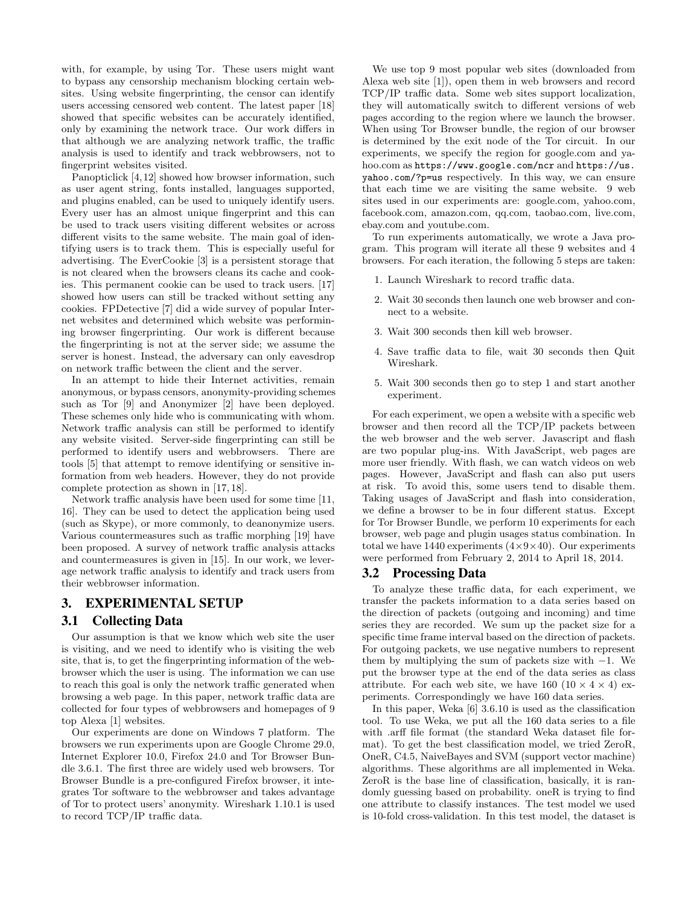with, for example, by using Tor. These users might want to bypass any censorship mechanism blocking certain websites. Using website fingerprinting, the censor can identify users accessing censored web content. The latest paper [18] showed that specific websites can be accurately identified, only by examining the network trace. Our work differs in that although we are analyzing network traffic, the traffic analysis is used to identify and track webbrowsers, not to fingerprint websites visited.

Panopticlick [4,12] showed how browser information, such as user agent string, fonts installed, languages supported, and plugins enabled, can be used to uniquely identify users. Every user has an almost unique fingerprint and this can be used to track users visiting different websites or across different visits to the same website. The main goal of identifying users is to track them. This is especially useful for advertising. The EverCookie [3] is a persistent storage that is not cleared when the browsers cleans its cache and cookies. This permanent cookie can be used to track users. [17] showed how users can still be tracked without setting any cookies. FPDetective [7] did a wide survey of popular Internet websites and determined which website was performining browser fingerprinting. Our work is different because the fingerprinting is not at the server side; we assume the server is honest. Instead, the adversary can only eavesdrop on network traffic between the client and the server.

In an attempt to hide their Internet activities, remain anonymous, or bypass censors, anonymity-providing schemes such as Tor [9] and Anonymizer [2] have been deployed. These schemes only hide who is communicating with whom. Network traffic analysis can still be performed to identify any website visited. Server-side fingerprinting can still be performed to identify users and webbrowsers. There are tools [5] that attempt to remove identifying or sensitive information from web headers. However, they do not provide complete protection as shown in [17, 18].

Network traffic analysis have been used for some time [11, 16]. They can be used to detect the application being used (such as Skype), or more commonly, to deanonymize users. Various countermeasures such as traffic morphing [19] have been proposed. A survey of network traffic analysis attacks and countermeasures is given in [15]. In our work, we leverage network traffic analysis to identify and track users from their webbrowser information.

# 3. EXPERIMENTAL SETUP

## 3.1 Collecting Data

Our assumption is that we know which web site the user is visiting, and we need to identify who is visiting the web site, that is, to get the fingerprinting information of the webbrowser which the user is using. The information we can use to reach this goal is only the network traffic generated when browsing a web page. In this paper, network traffic data are collected for four types of webbrowsers and homepages of 9 top Alexa [1] websites.

Our experiments are done on Windows 7 platform. The browsers we run experiments upon are Google Chrome 29.0, Internet Explorer 10.0, Firefox 24.0 and Tor Browser Bundle 3.6.1. The first three are widely used web browsers. Tor Browser Bundle is a pre-configured Firefox browser, it integrates Tor software to the webbrowser and takes advantage of Tor to protect users' anonymity. Wireshark 1.10.1 is used to record TCP/IP traffic data.

We use top 9 most popular web sites (downloaded from Alexa web site [1]), open them in web browsers and record TCP/IP traffic data. Some web sites support localization, they will automatically switch to different versions of web pages according to the region where we launch the browser. When using Tor Browser bundle, the region of our browser is determined by the exit node of the Tor circuit. In our experiments, we specify the region for google.com and yahoo.com as https://www.google.com/ncr and https://us. yahoo.com/?p=us respectively. In this way, we can ensure that each time we are visiting the same website. 9 web sites used in our experiments are: google.com, yahoo.com, facebook.com, amazon.com, qq.com, taobao.com, live.com, ebay.com and youtube.com.

To run experiments automatically, we wrote a Java program. This program will iterate all these 9 websites and 4 browsers. For each iteration, the following 5 steps are taken:

- 1. Launch Wireshark to record traffic data.
- 2. Wait 30 seconds then launch one web browser and connect to a website.
- 3. Wait 300 seconds then kill web browser.
- 4. Save traffic data to file, wait 30 seconds then Quit Wireshark.
- 5. Wait 300 seconds then go to step 1 and start another experiment.

For each experiment, we open a website with a specific web browser and then record all the TCP/IP packets between the web browser and the web server. Javascript and flash are two popular plug-ins. With JavaScript, web pages are more user friendly. With flash, we can watch videos on web pages. However, JavaScript and flash can also put users at risk. To avoid this, some users tend to disable them. Taking usages of JavaScript and flash into consideration, we define a browser to be in four different status. Except for Tor Browser Bundle, we perform 10 experiments for each browser, web page and plugin usages status combination. In total we have 1440 experiments  $(4\times9\times40)$ . Our experiments were performed from February 2, 2014 to April 18, 2014.

#### 3.2 Processing Data

To analyze these traffic data, for each experiment, we transfer the packets information to a data series based on the direction of packets (outgoing and incoming) and time series they are recorded. We sum up the packet size for a specific time frame interval based on the direction of packets. For outgoing packets, we use negative numbers to represent them by multiplying the sum of packets size with  $-1$ . We put the browser type at the end of the data series as class attribute. For each web site, we have 160 (10  $\times$  4  $\times$  4) experiments. Correspondingly we have 160 data series.

In this paper, Weka [6] 3.6.10 is used as the classification tool. To use Weka, we put all the 160 data series to a file with .arff file format (the standard Weka dataset file format). To get the best classification model, we tried ZeroR, OneR, C4.5, NaiveBayes and SVM (support vector machine) algorithms. These algorithms are all implemented in Weka. ZeroR is the base line of classification, basically, it is randomly guessing based on probability. oneR is trying to find one attribute to classify instances. The test model we used is 10-fold cross-validation. In this test model, the dataset is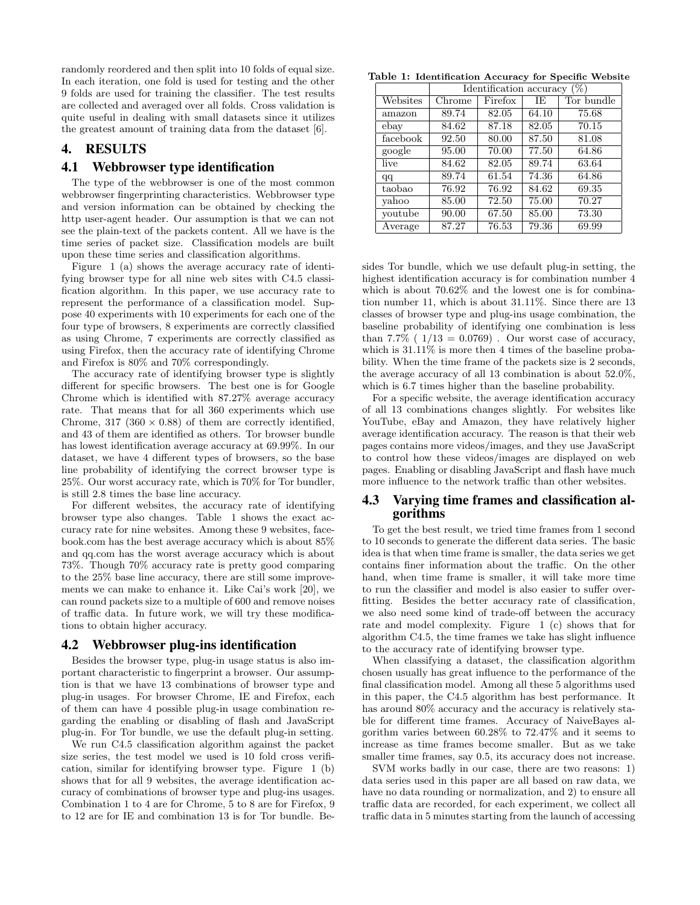randomly reordered and then split into 10 folds of equal size. In each iteration, one fold is used for testing and the other 9 folds are used for training the classifier. The test results are collected and averaged over all folds. Cross validation is quite useful in dealing with small datasets since it utilizes the greatest amount of training data from the dataset [6].

### 4. RESULTS

# 4.1 Webbrowser type identification

The type of the webbrowser is one of the most common webbrowser fingerprinting characteristics. Webbrowser type and version information can be obtained by checking the http user-agent header. Our assumption is that we can not see the plain-text of the packets content. All we have is the time series of packet size. Classification models are built upon these time series and classification algorithms.

Figure 1 (a) shows the average accuracy rate of identifying browser type for all nine web sites with C4.5 classification algorithm. In this paper, we use accuracy rate to represent the performance of a classification model. Suppose 40 experiments with 10 experiments for each one of the four type of browsers, 8 experiments are correctly classified as using Chrome, 7 experiments are correctly classified as using Firefox, then the accuracy rate of identifying Chrome and Firefox is 80% and 70% correspondingly.

The accuracy rate of identifying browser type is slightly different for specific browsers. The best one is for Google Chrome which is identified with 87.27% average accuracy rate. That means that for all 360 experiments which use Chrome, 317 (360  $\times$  0.88) of them are correctly identified, and 43 of them are identified as others. Tor browser bundle has lowest identification average accuracy at 69.99%. In our dataset, we have 4 different types of browsers, so the base line probability of identifying the correct browser type is 25%. Our worst accuracy rate, which is 70% for Tor bundler, is still 2.8 times the base line accuracy.

For different websites, the accuracy rate of identifying browser type also changes. Table 1 shows the exact accuracy rate for nine websites. Among these 9 websites, facebook.com has the best average accuracy which is about 85% and qq.com has the worst average accuracy which is about 73%. Though 70% accuracy rate is pretty good comparing to the 25% base line accuracy, there are still some improvements we can make to enhance it. Like Cai's work [20], we can round packets size to a multiple of 600 and remove noises of traffic data. In future work, we will try these modifications to obtain higher accuracy.

#### 4.2 Webbrowser plug-ins identification

Besides the browser type, plug-in usage status is also important characteristic to fingerprint a browser. Our assumption is that we have 13 combinations of browser type and plug-in usages. For browser Chrome, IE and Firefox, each of them can have 4 possible plug-in usage combination regarding the enabling or disabling of flash and JavaScript plug-in. For Tor bundle, we use the default plug-in setting.

We run C4.5 classification algorithm against the packet size series, the test model we used is 10 fold cross verification, similar for identifying browser type. Figure 1 (b) shows that for all 9 websites, the average identification accuracy of combinations of browser type and plug-ins usages. Combination 1 to 4 are for Chrome, 5 to 8 are for Firefox, 9 to 12 are for IE and combination 13 is for Tor bundle. Be-

Table 1: Identification Accuracy for Specific Website

|          | $(\%)$<br>Identification accuracy |         |       |            |
|----------|-----------------------------------|---------|-------|------------|
| Websites | Chrome                            | Firefox | ΙE    | Tor bundle |
| amazon   | 89.74                             | 82.05   | 64.10 | 75.68      |
| ebay     | 84.62                             | 87.18   | 82.05 | 70.15      |
| facebook | 92.50                             | 80.00   | 87.50 | 81.08      |
| google   | 95.00                             | 70.00   | 77.50 | 64.86      |
| live     | 84.62                             | 82.05   | 89.74 | 63.64      |
| qq       | 89.74                             | 61.54   | 74.36 | 64.86      |
| taobao   | 76.92                             | 76.92   | 84.62 | 69.35      |
| vahoo    | 85.00                             | 72.50   | 75.00 | 70.27      |
| youtube  | 90.00                             | 67.50   | 85.00 | 73.30      |
| Average  | 87.27                             | 76.53   | 79.36 | 69.99      |

sides Tor bundle, which we use default plug-in setting, the highest identification accuracy is for combination number 4 which is about 70.62% and the lowest one is for combination number 11, which is about 31.11%. Since there are 13 classes of browser type and plug-ins usage combination, the baseline probability of identifying one combination is less than  $7.7\%$  (  $1/13 = 0.0769$ ). Our worst case of accuracy, which is  $31.11\%$  is more then 4 times of the baseline probability. When the time frame of the packets size is 2 seconds, the average accuracy of all 13 combination is about 52.0%, which is 6.7 times higher than the baseline probability.

For a specific website, the average identification accuracy of all 13 combinations changes slightly. For websites like YouTube, eBay and Amazon, they have relatively higher average identification accuracy. The reason is that their web pages contains more videos/images, and they use JavaScript to control how these videos/images are displayed on web pages. Enabling or disabling JavaScript and flash have much more influence to the network traffic than other websites.

### 4.3 Varying time frames and classification algorithms

To get the best result, we tried time frames from 1 second to 10 seconds to generate the different data series. The basic idea is that when time frame is smaller, the data series we get contains finer information about the traffic. On the other hand, when time frame is smaller, it will take more time to run the classifier and model is also easier to suffer overfitting. Besides the better accuracy rate of classification, we also need some kind of trade-off between the accuracy rate and model complexity. Figure 1 (c) shows that for algorithm C4.5, the time frames we take has slight influence to the accuracy rate of identifying browser type.

When classifying a dataset, the classification algorithm chosen usually has great influence to the performance of the final classification model. Among all these 5 algorithms used in this paper, the C4.5 algorithm has best performance. It has around  $80\%$  accuracy and the accuracy is relatively stable for different time frames. Accuracy of NaiveBayes algorithm varies between 60.28% to 72.47% and it seems to increase as time frames become smaller. But as we take smaller time frames, say  $0.5$ , its accuracy does not increase.

SVM works badly in our case, there are two reasons: 1) data series used in this paper are all based on raw data, we have no data rounding or normalization, and 2) to ensure all traffic data are recorded, for each experiment, we collect all traffic data in 5 minutes starting from the launch of accessing